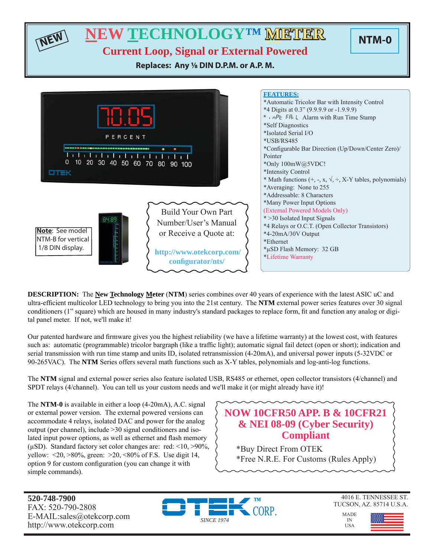

**DESCRIPTION:** The **New Technology Meter** (**NTM**) series combines over 40 years of experience with the latest ASIC uC and ultra-efficient multicolor LED technology to bring you into the 21st century. The **NTM** external power series features over 30 signal conditioners (1" square) which are housed in many industry's standard packages to replace form, fi t and function any analog or digital panel meter. If not, we'll make it!

Our patented hardware and firmware gives you the highest reliability (we have a lifetime warranty) at the lowest cost, with features such as: automatic (programmable) tricolor bargraph (like a traffic light); automatic signal fail detect (open or short); indication and serial transmission with run time stamp and units ID, isolated retransmission (4-20mA), and universal power inputs (5-32VDC or 90-265VAC). The **NTM** Series offers several math functions such as X-Y tables, polynomials and log-anti-log functions.

The **NTM** signal and external power series also feature isolated USB, RS485 or ethernet, open collector transistors (4/channel) and SPDT relays (4/channel). You can tell us your custom needs and we'll make it (or might already have it)!

The **NTM-0** is available in either a loop (4-20mA), A.C. signal or external power version. The external powered versions can accommodate 4 relays, isolated DAC and power for the analog output (per channel), include >30 signal conditioners and isolated input power options, as well as ethernet and flash memory ( $\mu$ SD). Standard factory set color changes are: red: <10, >90%, yellow:  $\langle 20, \rangle 80\%$ , green:  $\langle 20, \langle 80, \rangle 60$  f F.S. Use digit 14, option 9 for custom configuration (you can change it with simple commands).

### **NOW 10CFR50 APP. B & 10CFR21 & NEI 08-09 (Cyber Security) Compliant**

\*Buy Direct From OTEK \*Free N.R.E. For Customs (Rules Apply)

**520-748-7900** FAX: 520-790-2808 E-MAIL:sales@otekcorp.com http://www.otekcorp.com





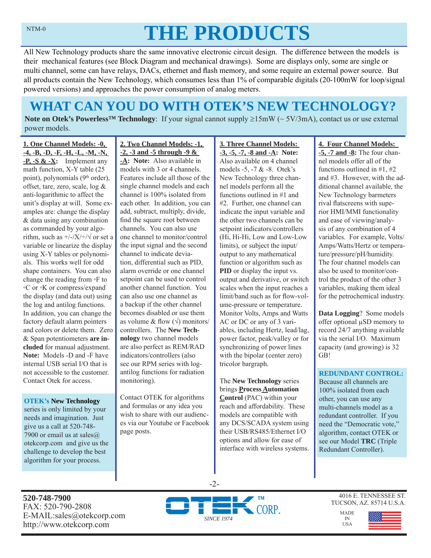# **THE PRODUCTS**

All New Technology products share the same innovative electronic circuit design. The difference between the models is their mechanical features (see Block Diagram and mechanical drawings). Some are displays only, some are single or multi channel, some can have relays, DACs, ethernet and flash memory, and some require an external power source. But all products contain the New Technology, which consumes less than 1% of comparable digitals (20-100mW for loop/signal powered versions) and approaches the power consumption of analog meters.

## **WHAT CAN YOU DO WITH OTEK'S NEW TECHNOLOGY?**

**Note on Otek's Powerless<sup>TM</sup> Technology**: If your signal cannot supply  $\geq 15 \text{mW}$  ( $\sim 5V/3 \text{mA}$ ), contact us or use external power models.

**1. One Channel Models: -0, -4, -B, -D, -F, -H, -L, -M, -N, -P, -S & -X:** Implement any math function, X-Y table (25 point), polynomials (9<sup>th</sup> order), offset, tare, zero, scale, log & anti-logarithmic to affect the unit's display at will. Some examples are: change the display & data using any combination as commanded by your algorithm, such as  $\frac{+}{-}\times\frac{+}{\sqrt{}}$  or set a variable or linearize the display using X-Y tables or polynomials. This works well for odd shape containers. You can also change the reading from ◦F to ◦C or ◦K or compress/expand the display (and data out) using the log and antilog functions. In addition, you can change the factory default alarm pointers and colors or delete them. Zero & Span potentiometers **are included** for manual adjustment. **Note:** Models -D and -F have internal USB serial I/O that is not accessible to the customer. Contact Otek for access.

#### **OTEK's New Technology**

series is only limited by your needs and imagination. Just give us a call at 520-748- 7900 or email us at sales $@$ otekcorp.com and give us the challenge to develop the best algorithm for your process.

### **2. Two Channel Models: -1, -2, -3 and -5 through -9 &**

**-A: Note:** Also available in models with 3 or 4 channels. Features include all those of the single channel models and each channel is 100% isolated from each other. In addition, you can add, subtract, multiply, divide, find the square root between channels. You can also use one channel to monitor/control the input signal and the second channel to indicate deviation, differential such as PID, alarm override or one channel setpoint can be used to control another channel function. You can also use one channel as a backup if the other channel becomes disabled or use them as volume & flow  $(\sqrt{})$  monitors/ controllers. The **New Technology** two channel models are also perfect as REM/RAD indicators/controllers (also see our RPM series with logantilog functions for radiation monitoring).

Contact OTEK for algorithms and formulas or any idea you wish to share with our audiences via our Youtube or Facebook page posts.

#### **-3, -5, -7, -8 and -A: Note:**  Also available on 4 channel models -5, -7 & -8. Otek's New Technology three channel models perform all the functions outlined in #1 and #2. Further, one channel can indicate the input variable and the other two channels can be setpoint indicators/controllers (Hi, Hi-Hi, Low and Low-Low limits), or subject the input/ output to any mathematical function or algorithm such as **PID** or display the input vs. output and derivative, or switch scales when the input reaches a limit/band such as for flow-volume-pressure or temperature. Monitor Volts, Amps and Watts AC or DC or any of 3 variables, including Hertz, lead/lag, power factor, peak/valley or for synchronizing of power lines with the bipolar (center zero) tricolor bargraph.

**3. Three Channel Models:** 

The **New Technology** series brings **Process Automation Control** (PAC) within your reach and affordability. These models are compatible with any DCS/SCADA system using their USB/RS485/Ethernet I/O options and allow for ease of interface with wireless systems.

### **4. Four Channel Models:**

**-5, -7 and -8:** The four channel models offer all of the functions outlined in #1, #2 and #3. However, with the additional channel available, the New Technology barmeters rival flatscreens with superior HMI/MMI functionality and ease of viewing/analysis of any combination of 4 variables. For example, Volts/ Amps/Watts/Hertz or temperature/pressure/pH/humidity. The four channel models can also be used to monitor/control the product of the other 3 variables, making them ideal for the petrochemical industry.

**Data Logging**? Some models offer optional μSD memory to record 24/7 anything available via the serial I/O. Maximum capacity (and growing) is 32 GB!

### **REDUNDANT CONTROL:**

Because all channels are 100% isolated from each other, you can use any multi-channels model as a redundant controller. If you need the "Democratic vote," algorithm, contact OTEK or see our Model **TRC** (Triple Redundant Controller).

**520-748-7900** FAX: 520-790-2808 E-MAIL:sales@otekcorp.com http://www.otekcorp.com



-2-

4016 E. TENNESSEE ST. TUCSON, AZ. 85714 U.S.A.

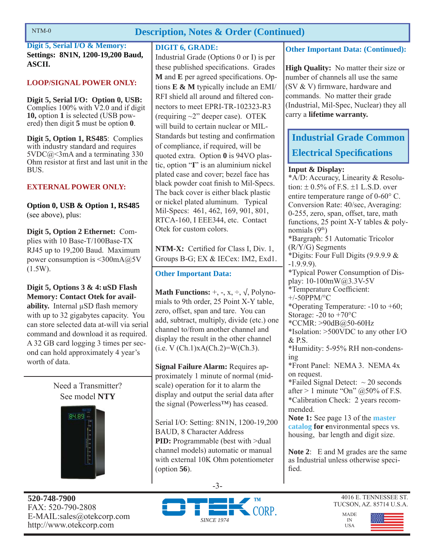### **Description, Notes & Order (Continued)**

**Digit 5, Serial I/O & Memory: Settings: 8N1N, 1200-19,200 Baud, ASCII.**

### **LOOP/SIGNAL POWER ONLY:**

**Digit 5, Serial I/O: Option 0, USB:**  Complies 100% with V2.0 and if digit **10,** option **1** is selected (USB powered) then digit **5** must be option **0**.

**Digit 5, Option 1, RS485**: Complies with industry standard and requires  $5VDC@<3mA$  and a terminating 330 Ohm resistor at first and last unit in the **BUS**.

### **EXTERNAL POWER ONLY:**

**Option 0, USB & Option 1, RS485**  (see above), plus:

**Digit 5, Option 2 Ethernet:** Complies with 10 Base-T/100Base-TX RJ45 up to 19,200 Baud. Maximum power consumption is <300mA@5V  $(1.5W)$ .

**Digit 5, Options 3 & 4: uSD Flash Memory: Contact Otek for availability.** Internal μSD flash memory with up to 32 gigabytes capacity. You can store selected data at-will via serial command and download it as required. A 32 GB card logging 3 times per second can hold approximately 4 year's worth of data.

> Need a Transmitter? See model **NTY**



**520-748-7900** FAX: 520-790-2808 E-MAIL:sales@otekcorp.com http://www.otekcorp.com

### **DIGIT 6, GRADE:**

Industrial Grade (Options 0 or I) is per these published specifications. Grades **M** and **E** per agreed specifications. Options **E & M** typically include an EMI/ RFI shield all around and filtered connectors to meet EPRI-TR-102323-R3 (requiring ~2" deeper case). OTEK will build to certain nuclear or MIL-Standards but testing and confirmation of compliance, if required, will be quoted extra. Option **0** is 94VO plastic, option "**I**" is an aluminium nickel plated case and cover; bezel face has black powder coat finish to Mil-Specs. The back cover is either black plastic or nickel plated aluminum. Typical Mil-Specs: 461, 462, 169, 901, 801, RTCA-160, I EEE344, etc. Contact Otek for custom colors.

**NTM-X:** Certified for Class I, Div. 1, Groups B-G; EX & IECex: IM2, Exd1.

### **Other Important Data:**

**Math Functions:**  $+$ ,  $-$ ,  $x$ ,  $\div$ ,  $\sqrt{}$ , Polynomials to 9th order, 25 Point X-Y table, zero, offset, span and tare. You can add, subtract, multiply, divide (etc.) one channel to/from another channel and display the result in the other channel  $(i.e. V (Ch.1)xA(Ch.2)=W(Ch.3).$ 

**Signal Failure Alarm:** Requires approximately 1 minute of normal (midscale) operation for it to alarm the display and output the serial data after the signal (Powerless™) has ceased.

Serial I/O: Setting: 8N1N, 1200-19,200 BAUD, 8 Character Address **PID:** Programmable (best with >dual channel models) automatic or manual with external 10K Ohm potentiometer (option **56**).

### **Other Important Data: (Continued):**

**High Quality:** No matter their size or number of channels all use the same (SV  $&$  V) firmware, hardware and commands. No matter their grade (Industrial, Mil-Spec, Nuclear) they all carry a **lifetime warranty.**

### **Industrial Grade Common Electrical Specifications**

### **Input & Display:**

\*A/D: Accuracy, Linearity & Resolution:  $\pm$  0.5% of F.S.  $\pm$ 1 L.S.D. over entire temperature range of  $0\n-60^{\circ}$  C. Conversion Rate: 40/sec, Averaging: 0-255, zero, span, offset, tare, math functions, 25 point X-Y tables & polynomials  $(9<sup>th</sup>)$ \*Bargraph: 51 Automatic Tricolor (R/Y/G) Segments \*Digits: Four Full Digits (9.9.9.9 & -1.9.9.9). \*Typical Power Consumption of Display: 10-100mW@3.3V-5V \*Temperature Coefficient: +/-50PPM/°C \*Operating Temperature: -10 to +60; Storage:  $-20$  to  $+70^{\circ}$ C \*CCMR: >90dB@50-60Hz \*Isolation: >500VDC to any other I/O & P.S. \*Humidity: 5-95% RH non-condensing \*Front Panel: NEMA 3. NEMA 4x on request. \*Failed Signal Detect:  $\sim$  20 seconds after  $> 1$  minute "On" @50% of F.S. \*Calibration Check: 2 years recommended. **Note 1:** See page 13 of the **master catalog for e**nvironmental specs vs. housing, bar length and digit size.

**Note 2**: E and M grades are the same as Industrial unless otherwise specified.

-3-



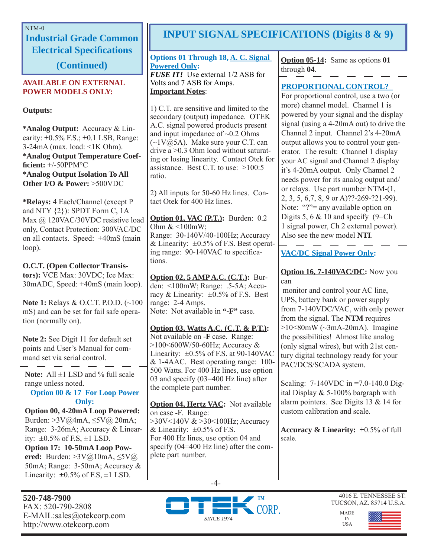### NTM-0

**Industrial Grade Common Electrical Specifications** 

**(Continued)**

### **AVAILABLE ON EXTERNAL POWER MODELS ONLY:**

**Outputs:**

**\*Analog Output:** Accuracy & Linearity:  $\pm 0.5\%$  F.S.;  $\pm 0.1$  LSB, Range: 3-24mA (max. load: <1K Ohm). **\*Analog Output Temperature Coeffi cient:** +/-50PPM°C **\*Analog Output Isolation To All Other I/O & Power:** >500VDC

**\*Relays:** 4 Each/Channel (except P and NTY  $\{2\}$ : SPDT Form C, 1A Max @ 120VAC/30VDC resistive load only, Contact Protection: 300VAC/DC on all contacts. Speed: +40mS (main loop).

### **O.C.T. (Open Collector Transis-**

**tors):** VCE Max: 30VDC; Ice Max: 30mADC, Speed: +40mS (main loop).

**Note 1:** Relays & O.C.T. P.O.D. (~100 mS) and can be set for fail safe operation (normally on).

**Note 2:** See Digit 11 for default set points and User's Manual for command set via serial control.

**Note:** All  $\pm$ 1 LSD and % full scale range unless noted.

**Option 00 & 17 For Loop Power Only:**

**Option 00, 4-20mA Loop Powered:**  Burden: >3V@4mA, ≤5V@ 20mA; Range: 3-26mA; Accuracy & Linearity:  $\pm 0.5\%$  of F.S,  $\pm 1$  LSD. **Option 17: 10-50mA Loop Powered:** Burden: >3V@10mA, ≤5V@ 50mA; Range: 3-50mA; Accuracy & Linearity:  $\pm 0.5\%$  of F.S,  $\pm 1$  LSD.

### **INPUT SIGNAL SPECIFICATIONS (Digits 8 & 9)**

#### **Options 01 Through 18, A. C. Signal Powered Only:** *FUSE IT!* Use external 1/2 ASB for Volts and 7 ASB for Amps. **Important Notes**:

1) C.T. are sensitive and limited to the secondary (output) impedance. OTEK A.C. signal powered products present and input impedance of  $\sim 0.2$  Ohms  $(\sim 1 \text{V} \text{@} 5 \text{A})$ . Make sure your C.T. can drive a >0.3 Ohm load without saturating or losing linearity. Contact Otek for assistance. Best C.T. to use:  $>100:5$ ratio.

2) All inputs for 50-60 Hz lines. Contact Otek for 400 Hz lines.

**Option 01, VAC (P.T.):** Burden: 0.2 Ohm  $<100$ mW; Range: 30-140V/40-100Hz; Accuracy & Linearity:  $\pm 0.5\%$  of F.S. Best operating range: 90-140VAC to specifications.

**Option 02, 5 AMP A.C. (C.T.):** Burden: <100mW; Range: .5-5A; Accuracy & Linearity:  $\pm 0.5\%$  of F.S. Best range: 2-4 Amps. Note: Not available in **"-F"** case.

**Option 03, Watts A.C. (C.T. & P.T.):** Not available on **-F** case. Range: >100<600W/50-60Hz; Accuracy & Linearity:  $\pm 0.5\%$  of F.S. at 90-140VAC & 1-4AAC. Best operating range: 100- 500 Watts. For 400 Hz lines, use option 03 and specify (03=400 Hz line) after the complete part number.

**Option 04, Hertz VAC:** Not available on case -F. Range: >30V<140V & >30<100Hz; Accuracy & Linearity:  $\pm 0.5\%$  of F.S. For 400 Hz lines, use option 04 and specify (04=400 Hz line) after the complete part number.

-4-

**Option 05-14:** Same as options **01** through **04**.

### **PROPORTIONAL CONTROL?**

For proportional control, use a two (or more) channel model. Channel 1 is powered by your signal and the display signal (using a 4-20mA out) to drive the Channel 2 input. Channel 2's 4-20mA output allows you to control your generator. The result: Channel 1 display your AC signal and Channel 2 display it's 4-20mA output. Only Channel 2 needs power for its analog output and/ or relays. Use part number NTM-(1, 2, 3, 5, 6,7, 8, 9 or A)??-269-?21-99). Note: "?"= any available option on Digits 5, 6  $& 10$  and specify (9=Ch) 1 signal power, Ch 2 external power). Also see the new model **NTI**.

### **VAC/DC Signal Power Only:**

**Option 16, 7-140VAC/DC:** Now you can

 monitor and control your AC line, UPS, battery bank or power supply from 7-140VDC/VAC, with only power from the signal. The **NTM** requires  $>10<80$ mW ( $\sim$ 3mA-20mA). Imagine the possibilities! Almost like analog (only signal wires), but with 21st century digital technology ready for your PAC/DCS/SCADA system.

Scaling: 7-140VDC in =7.0-140.0 Digital Display & 5-100% bargraph with alarm pointers. See Digits 13 & 14 for custom calibration and scale.

**Accuracy & Linearity:**  $\pm 0.5\%$  of full scale.



4016 E. TENNESSEE ST. TUCSON, AZ. 85714 U.S.A.

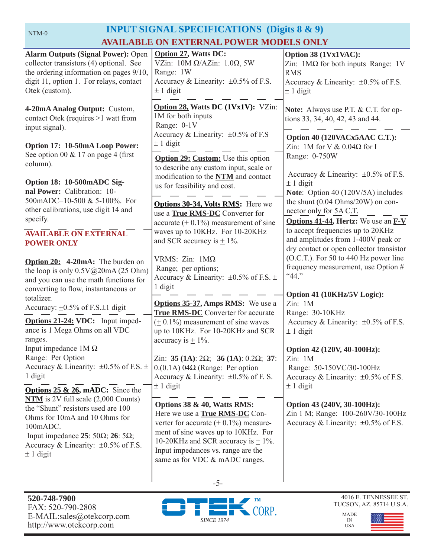### **INPUT SIGNAL SPECIFICATIONS (Digits 8 & 9) AVAILABLE ON EXTERNAL POWER MODELS ONLY**

| <b>Alarm Outputs (Signal Power): Open</b><br>collector transistors (4) optional. See<br>the ordering information on pages 9/10,<br>digit 11, option 1. For relays, contact<br>Otek (custom).        | <b>Option 27, Watts DC:</b><br>VZin: $10M \Omega/AZ$ in: $1.0\Omega$ , 5W<br>Range: 1W<br>Accuracy & Linearity: ±0.5% of F.S.<br>$\pm$ 1 digit                                                                                         | Option 38 (1Vx1VAC):<br>Zin: $1\text{M}\Omega$ for both inputs Range: 1V<br><b>RMS</b><br>Accuracy & Linearity: $\pm 0.5\%$ of F.S.<br>$\pm$ 1 digit |
|-----------------------------------------------------------------------------------------------------------------------------------------------------------------------------------------------------|----------------------------------------------------------------------------------------------------------------------------------------------------------------------------------------------------------------------------------------|------------------------------------------------------------------------------------------------------------------------------------------------------|
| 4-20mA Analog Output: Custom,<br>contact Otek (requires >1 watt from<br>input signal).                                                                                                              | Option 28, Watts DC (1Vx1V): VZin:<br>1M for both inputs<br>Range: 0-1V                                                                                                                                                                | <b>Note:</b> Always use P.T. & C.T. for op-<br>tions 33, 34, 40, 42, 43 and 44.                                                                      |
| Option 17: 10-50mA Loop Power:<br>See option 00 $& 17$ on page 4 (first                                                                                                                             | Accuracy & Linearity: ±0.5% of F.S<br>$\pm$ 1 digit<br>Option 29: Custom: Use this option                                                                                                                                              | Option 40 (120VACx5AAC C.T.):<br>Zin: 1M for V $& 0.04\Omega$ for I<br>Range: 0-750W                                                                 |
| column).<br>Option 18: 10-500mADC Sig-                                                                                                                                                              | to describe any custom input, scale or<br>modification to the NTM and contact                                                                                                                                                          | Accuracy & Linearity: $\pm 0.5\%$ of F.S.<br>$\pm$ 1 digit                                                                                           |
| nal Power: Calibration: 10-<br>500mADC=10-500 & 5-100%. For<br>other calibrations, use digit 14 and                                                                                                 | us for feasibility and cost.<br>Options 30-34, Volts RMS: Here we                                                                                                                                                                      | Note: Option 40 (120V/5A) includes<br>the shunt $(0.04 \text{ Ohms}/20 \text{W})$ on con-<br>nector only for 5A C.T.                                 |
| specify.<br><b>AVAILABLE ON EXTERNAL</b>                                                                                                                                                            | use a True RMS-DC Converter for<br>accurate $(± 0.1%)$ measurement of sine<br>waves up to 10KHz. For 10-20KHz                                                                                                                          | Options 41-44, Hertz: We use an F-V<br>to accept frequencies up to 20KHz                                                                             |
| <b>POWER ONLY</b><br>Option 20: 4-20mA: The burden on                                                                                                                                               | and SCR accuracy is $\pm$ 1%.<br>VRMS: $Zin$ : $1M\Omega$                                                                                                                                                                              | and amplitudes from 1-400V peak or<br>dry contact or open collector transistor<br>(O.C.T.). For 50 to 440 Hz power line                              |
| the loop is only $0.5V@20mA(25 Ohm)$<br>and you can use the math functions for                                                                                                                      | Range; per options;<br>Accuracy & Linearity: $\pm 0.5\%$ of F.S. $\pm$<br>1 digit                                                                                                                                                      | frequency measurement, use Option #<br>"44."                                                                                                         |
| converting to flow, instantaneous or<br>totalizer.<br>Accuracy: $\pm 0.5\%$ of F.S. $\pm 1$ digit                                                                                                   | <b>Options 35-37, Amps RMS:</b> We use a<br><b>True RMS-DC</b> Converter for accurate                                                                                                                                                  | Option 41 (10KHz/5V Logic):<br>Zin: 1M<br>Range: 30-10KHz                                                                                            |
| Options 21-24: VDC: Input imped-<br>ance is 1 Mega Ohms on all VDC<br>ranges.                                                                                                                       | $(± 0.1%)$ measurement of sine waves<br>up to 10KHz. For 10-20KHz and SCR<br>accuracy is $\pm$ 1%.                                                                                                                                     | Accuracy & Linearity: $\pm 0.5\%$ of F.S.<br>$\pm$ 1 digit                                                                                           |
| Input impedance $1M\Omega$<br>Range: Per Option<br>Accuracy & Linearity: $\pm 0.5\%$ of F.S. $\pm$<br>1 digit                                                                                       | Zin: 35 (1A): $2\Omega$ ; 36 (1A): 0.2 $\Omega$ ; 37:<br>$0.01A$ ) 04 $\Omega$ (Range: Per option<br>Accuracy & Linearity: $\pm 0.5\%$ of F. S.                                                                                        | Option 42 (120V, 40-100Hz):<br>Zin: 1M<br>Range: 50-150VC/30-100Hz<br>Accuracy & Linearity: $\pm 0.5\%$ of F.S.                                      |
| <b>Options 25 &amp; 26, mADC:</b> Since the<br>$NTM$ is 2V full scale (2,000 Counts)                                                                                                                | $\pm$ 1 digit                                                                                                                                                                                                                          | $\pm$ 1 digit                                                                                                                                        |
| the "Shunt" resistors used are 100<br>Ohms for 10mA and 10 Ohms for<br>100mADC.<br>Input impedance 25: 50 $\Omega$ ; 26: 5 $\Omega$ ;<br>Accuracy & Linearity: $\pm 0.5\%$ of F.S.<br>$\pm$ 1 digit | Options 38 & 40, Watts RMS:<br>Here we use a <b>True RMS-DC</b> Con-<br>verter for accurate $(± 0.1%)$ measure-<br>ment of sine waves up to 10KHz. For<br>10-20KHz and SCR accuracy is $\pm$ 1%.<br>Input impedances vs. range are the | Option 43 (240V, 30-100Hz):<br>Zin 1 M; Range: 100-260V/30-100Hz<br>Accuracy & Linearity: $\pm 0.5\%$ of F.S.                                        |
|                                                                                                                                                                                                     | same as for VDC & mADC ranges.                                                                                                                                                                                                         |                                                                                                                                                      |



-5-



IN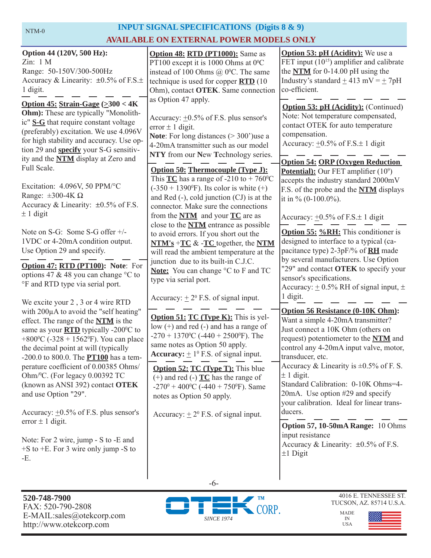### **INPUT SIGNAL SPECIFICATIONS (Digits 8 & 9) AVAILABLE ON EXTERNAL POWER MODELS ONLY**

| Option 44 (120V, 500 Hz):<br>Zin: 1 M<br>Range: 50-150V/300-500Hz<br>Accuracy & Linearity: $\pm 0.5\%$ of F.S. $\pm$<br>1 digit.<br>Option 45: Strain-Gage $(\geq 300 < 4K)$<br>Ohm): These are typically "Monolith-<br>ic" S-G that require constant voltage<br>(preferably) excitation. We use 4.096V<br>for high stability and accuracy. Use op-<br>tion 29 and <b>specify</b> your S-G sensitiv-<br>ity and the <b>NTM</b> display at Zero and<br>Full Scale.<br>Excitation: 4.096V, 50 PPM/°C<br>Range: $\pm 300 - 4K \Omega$<br>Accuracy & Linearity: $\pm 0.5\%$ of F.S.<br>$\pm$ 1 digit<br>Note on S-G: Some S-G offer +/-<br>1VDC or 4-20mA condition output.<br>Use Option 29 and specify.<br>Option 47: RTD (PT100): Note: For<br>options 47 & 48 you can change °C to<br>°F and RTD type via serial port. | <b>Option 48: RTD (PT1000):</b> Same as<br>PT100 except it is 1000 Ohms at $0^{\circ}$ C<br>instead of 100 Ohms $(a)$ 0°C. The same<br>technique is used for copper $\overline{RTD}$ (10<br>Ohm), contact OTEK. Same connection<br>as Option 47 apply.<br>Accuracy: $\pm 0.5\%$ of F.S. plus sensor's<br>error $\pm$ 1 digit.<br><b>Note:</b> For long distances $(>300)$ use a<br>4-20mA transmitter such as our model<br>NTY from our New Technology series.<br><b>Option 50: Thermocouple (Type J):</b><br>This $TC$ has a range of -210 to + 760 <sup>o</sup> C<br>$(-350 + 1390^{\circ}F)$ . Its color is white $(+)$<br>and Red $(-)$ , cold junction $(CJ)$ is at the<br>connector. Make sure the connections<br>from the $NTM$ and your $TC$ are as<br>close to the <b>NTM</b> entrance as possible<br>to avoid errors. If you short out the<br>$NTM's + TC & -TC$ together, the NTM<br>will read the ambient temperature at the<br>junction due to its built-in C.J.C.<br>Note: You can change °C to F and TC<br>type via serial port. | <b>Option 53: pH (Acidity):</b> We use a<br>FET input (10 <sup>15</sup> ) amplifier and calibrate<br>the $NTM$ for 0-14.00 pH using the<br>Industry's standard $\pm$ 413 mV = $\pm$ 7pH<br>co-efficient.<br>Option 53: pH (Acidity): (Continued)<br>Note: Not temperature compensated,<br>contact OTEK for auto temperature<br>compensation.<br>Accuracy: $\pm 0.5\%$ of F.S. $\pm$ 1 digit<br><b>Option 54: ORP (Oxygen Reduction</b><br><b>Potential):</b> Our FET amplifier $(10^9)$<br>accepts the industry standard 2000mV<br>F.S. of the probe and the <b>NTM</b> displays<br>it in % $(0-100.0\%)$ .<br>Accuracy: $\pm 0.5\%$ of F.S. $\pm$ 1 digit<br><b>Option 55: %RH:</b> This conditioner is<br>designed to interface to a typical (ca-<br>pacitance type) 2-3pF/% of <b>RH</b> made<br>by several manufacturers. Use Option<br>"29" and contact OTEK to specify your<br>sensor's specifications.<br>Accuracy: $\pm$ 0.5% RH of signal input, $\pm$ |
|------------------------------------------------------------------------------------------------------------------------------------------------------------------------------------------------------------------------------------------------------------------------------------------------------------------------------------------------------------------------------------------------------------------------------------------------------------------------------------------------------------------------------------------------------------------------------------------------------------------------------------------------------------------------------------------------------------------------------------------------------------------------------------------------------------------------|-------------------------------------------------------------------------------------------------------------------------------------------------------------------------------------------------------------------------------------------------------------------------------------------------------------------------------------------------------------------------------------------------------------------------------------------------------------------------------------------------------------------------------------------------------------------------------------------------------------------------------------------------------------------------------------------------------------------------------------------------------------------------------------------------------------------------------------------------------------------------------------------------------------------------------------------------------------------------------------------------------------------------------------------------|-----------------------------------------------------------------------------------------------------------------------------------------------------------------------------------------------------------------------------------------------------------------------------------------------------------------------------------------------------------------------------------------------------------------------------------------------------------------------------------------------------------------------------------------------------------------------------------------------------------------------------------------------------------------------------------------------------------------------------------------------------------------------------------------------------------------------------------------------------------------------------------------------------------------------------------------------------------------|
| We excite your 2, 3 or 4 wire RTD<br>with 200µA to avoid the "self heating"<br>effect. The range of the <b>NTM</b> is the<br>same as your <b>RTD</b> typically -200°C to<br>+800 <sup>o</sup> C (-328 + 1562 <sup>o</sup> F). You can place<br>the decimal point at will (typically<br>$-200.0$ to 800.0. The <b>PT100</b> has a tem-<br>perature coefficient of 0.00385 Ohms/<br>Ohm/ <sup>0</sup> C. (For legacy 0.00392 TC<br>(known as ANSI 392) contact OTEK<br>and use Option "29".<br>Accuracy: $\pm 0.5\%$ of F.S. plus sensor's<br>error $\pm$ 1 digit.<br>Note: For 2 wire, jump - S to -E and<br>$+$ S to $+$ E. For 3 wire only jump -S to<br>-E.                                                                                                                                                          | Accuracy: $\pm 2^0$ F.S. of signal input.<br><b>Option 51: TC (Type K):</b> This is yel-<br>$low (+)$ and red $(-)$ and has a range of<br>$-270 + 1370$ <sup>o</sup> C ( $-440 + 2500$ <sup>o</sup> F). The<br>same notes as Option 50 apply.<br><b>Accuracy:</b> $\pm 1^0$ F.S. of signal input.<br><b>Option 52: TC (Type T):</b> This blue<br>$(+)$ and red $(-)$ <b>TC</b> has the range of<br>-270 <sup>0</sup> + 400 <sup>o</sup> C (-440 + 750 <sup>o</sup> F). Same<br>notes as Option 50 apply.<br>Accuracy: $\pm 2^0$ F.S. of signal input.                                                                                                                                                                                                                                                                                                                                                                                                                                                                                           | 1 digit.<br><b>Option 56 Resistance (0-10K Ohm):</b><br>Want a simple 4-20mA transmitter?<br>Just connect a 10K Ohm (others on<br>request) potentiometer to the NTM and<br>control any 4-20mA input valve, motor,<br>transducer, etc.<br>Accuracy & Linearity is $\pm 0.5\%$ of F. S.<br>$\pm$ 1 digit.<br>Standard Calibration: 0-10K Ohms=4-<br>20mA. Use option #29 and specify<br>your calibration. Ideal for linear trans-<br>ducers.<br>Option 57, 10-50mA Range: 10 Ohms<br>input resistance<br>Accuracy & Linearity: $\pm 0.5\%$ of F.S.<br>$\pm 1$ Digit                                                                                                                                                                                                                                                                                                                                                                                               |



-6-



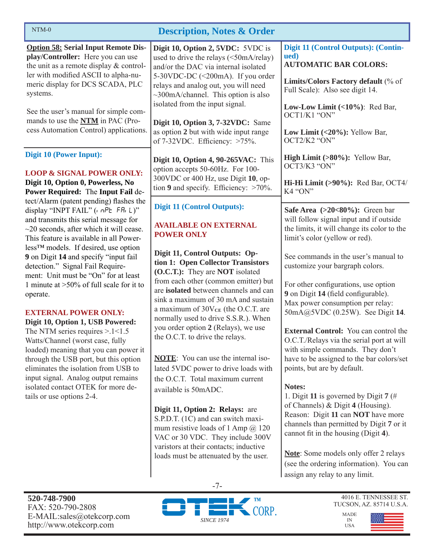| $NTM-0$<br><b>Description, Notes &amp; Order</b>                                                                                                                                                                                                                                                                                                                                                                                                                                                                                                                                                                                                                                                                                                                                                                                                                                                                                                                                            |                                                                                                                                                                                                                                                                                                                                                                                                        |                                                                                                                                                                                                                                                                                                                                                                                                                    |  |  |
|---------------------------------------------------------------------------------------------------------------------------------------------------------------------------------------------------------------------------------------------------------------------------------------------------------------------------------------------------------------------------------------------------------------------------------------------------------------------------------------------------------------------------------------------------------------------------------------------------------------------------------------------------------------------------------------------------------------------------------------------------------------------------------------------------------------------------------------------------------------------------------------------------------------------------------------------------------------------------------------------|--------------------------------------------------------------------------------------------------------------------------------------------------------------------------------------------------------------------------------------------------------------------------------------------------------------------------------------------------------------------------------------------------------|--------------------------------------------------------------------------------------------------------------------------------------------------------------------------------------------------------------------------------------------------------------------------------------------------------------------------------------------------------------------------------------------------------------------|--|--|
| <b>Option 58: Serial Input Remote Dis-</b><br>play/Controller: Here you can use<br>the unit as a remote display $&$ control-<br>ler with modified ASCII to alpha-nu-<br>meric display for DCS SCADA, PLC<br>systems.<br>See the user's manual for simple com-<br>mands to use the <b>NTM</b> in PAC (Pro-<br>cess Automation Control) applications.                                                                                                                                                                                                                                                                                                                                                                                                                                                                                                                                                                                                                                         | Digit 10, Option 2, 5VDC: 5VDC is<br>used to drive the relays (<50mA/relay)<br>and/or the DAC via internal isolated<br>5-30VDC-DC (<200mA). If you order<br>relays and analog out, you will need<br>$\sim$ 300mA/channel. This option is also<br>isolated from the input signal.<br>Digit 10, Option 3, 7-32VDC: Same<br>as option 2 but with wide input range<br>of $7-32$ VDC. Efficiency: $>75\%$ . | Digit 11 (Control Outputs): (Contin-<br>ued)<br><b>AUTOMATIC BAR COLORS:</b><br>Limits/Colors Factory default (% of<br>Full Scale): Also see digit 14.<br>Low-Low Limit (<10%): Red Bar,<br>OCT1/K1 "ON"<br>Low Limit $(<20\%)$ : Yellow Bar,<br>OCT2/K2 "ON"                                                                                                                                                      |  |  |
| Digit 10 (Power Input):<br><b>LOOP &amp; SIGNAL POWER ONLY:</b><br>Digit 10, Option 0, Powerless, No<br>Power Required: The Input Fail de-<br>tect/Alarm (patent pending) flashes the<br>display "INPT FAIL" ( $nPE$ FR $(L)$ "<br>and transmits this serial message for<br>$\sim$ 20 seconds, after which it will cease.<br>This feature is available in all Power-<br>less <sup>TM</sup> models. If desired, use option<br>9 on Digit 14 and specify "input fail<br>detection." Signal Fail Require-<br>ment: Unit must be "On" for at least<br>1 minute at $>50\%$ of full scale for it to<br>operate.<br><b>EXTERNAL POWER ONLY:</b><br>Digit 10, Option 1, USB Powered:<br>The NTM series requires $> 1 < 1.5$<br>Watts/Channel (worst case, fully<br>loaded) meaning that you can power it<br>through the USB port, but this option<br>eliminates the isolation from USB to<br>input signal. Analog output remains<br>isolated contact OTEK for more de-<br>tails or use options 2-4. | Digit 10, Option 4, 90-265VAC: This<br>option accepts 50-60Hz. For 100-<br>300VDC or 400 Hz, use Digit 10, op-<br>tion 9 and specify. Efficiency: $>70\%$ .                                                                                                                                                                                                                                            | High Limit (>80%): Yellow Bar,<br>OCT3/K3 "ON"<br>Hi-Hi Limit (>90%): Red Bar, OCT4/<br>K4 "ON"                                                                                                                                                                                                                                                                                                                    |  |  |
|                                                                                                                                                                                                                                                                                                                                                                                                                                                                                                                                                                                                                                                                                                                                                                                                                                                                                                                                                                                             | <b>Digit 11 (Control Outputs):</b><br><b>AVAILABLE ON EXTERNAL</b><br><b>POWER ONLY</b>                                                                                                                                                                                                                                                                                                                | Safe Area $(>20<80\%)$ : Green bar<br>will follow signal input and if outside<br>the limits, it will change its color to the<br>limit's color (yellow or red).                                                                                                                                                                                                                                                     |  |  |
|                                                                                                                                                                                                                                                                                                                                                                                                                                                                                                                                                                                                                                                                                                                                                                                                                                                                                                                                                                                             | Digit 11, Control Outputs: Op-<br>tion 1: Open Collector Transistors<br>(O.C.T.): They are <b>NOT</b> isolated<br>from each other (common emitter) but<br>are isolated between channels and can<br>sink a maximum of 30 mA and sustain<br>a maximum of $30V_{CE}$ (the O.C.T. are<br>normally used to drive S.S.R.). When<br>you order option 2 (Relays), we use<br>the O.C.T. to drive the relays.    | See commands in the user's manual to<br>customize your bargraph colors.<br>For other configurations, use option<br>9 on Digit 14 (field configurable).<br>Max power consumption per relay:<br>50mA@5VDC (0.25W). See Digit 14.<br><b>External Control:</b> You can control the<br>O.C.T./Relays via the serial port at will<br>with simple commands. They don't                                                    |  |  |
|                                                                                                                                                                                                                                                                                                                                                                                                                                                                                                                                                                                                                                                                                                                                                                                                                                                                                                                                                                                             | <b>NOTE:</b> You can use the internal iso-<br>lated 5VDC power to drive loads with<br>the O.C.T. Total maximum current<br>available is 50mADC.<br>Digit 11, Option 2: Relays: are<br>S.P.D.T. (1C) and can switch maxi-<br>mum resistive loads of 1 Amp $@$ 120<br>VAC or 30 VDC. They include 300V<br>varistors at their contacts; inductive<br>loads must be attenuated by the user.                 | have to be assigned to the bar colors/set<br>points, but are by default.<br>Notes:<br>1. Digit 11 is governed by Digit 7 (#<br>of Channels) $&$ Digit 4 (Housing).<br>Reason: Digit 11 can NOT have more<br>channels than permitted by Digit 7 or it<br>cannot fit in the housing (Digit 4).<br>Note: Some models only offer 2 relays<br>(see the ordering information). You can<br>assign any relay to any limit. |  |  |
| 520-748-7900<br>FAX: 520-790-2808<br>E-MAIL:sales@otekcorp.com<br>http://www.otekcorp.com                                                                                                                                                                                                                                                                                                                                                                                                                                                                                                                                                                                                                                                                                                                                                                                                                                                                                                   | $-7-$<br>CORP.<br><b>SINCE 1974</b>                                                                                                                                                                                                                                                                                                                                                                    | 4016 E. TENNESSEE ST.<br>TUCSON, AZ. 85714 U.S.A.<br><b>MADE</b><br>IN<br><b>USA</b>                                                                                                                                                                                                                                                                                                                               |  |  |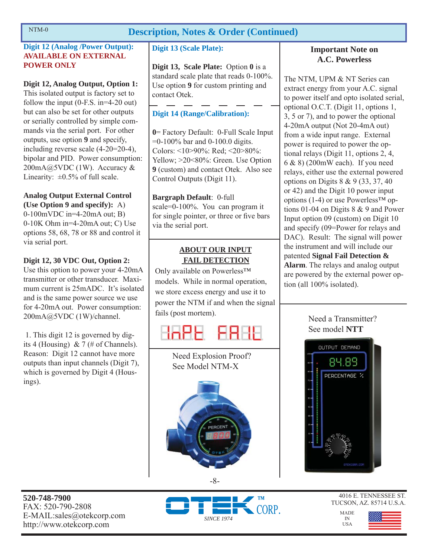### **Description, Notes & Order (Continued)**

### **Digit 12 (Analog /Power Output): AVAILABLE ON EXTERNAL POWER ONLY**

### **Digit 12, Analog Output, Option 1:**

This isolated output is factory set to follow the input (0-F.S. in=4-20 out) but can also be set for other outputs or serially controlled by simple commands via the serial port. For other outputs, use option **9** and specify, including reverse scale (4-20=20-4), bipolar and PID. Power consumption:  $200mA@5VDC(1W)$ . Accuracy & Linearity:  $\pm 0.5\%$  of full scale.

### **Analog Output External Control**

**(Use Option 9 and specify):** A) 0-100mVDC in=4-20mA out; B) 0-10K Ohm in=4-20mA out; C) Use options 58, 68, 78 or 88 and control it via serial port.

### **Digit 12, 30 VDC Out, Option 2:**

Use this option to power your 4-20mA transmitter or other transducer. Maximum current is 25mADC. It's isolated and is the same power source we use for 4-20mA out. Power consumption: 200mA@5VDC (1W)/channel.

 1. This digit 12 is governed by digits 4 (Housing) & 7 (# of Channels). Reason: Digit 12 cannot have more outputs than input channels (Digit 7), which is governed by Digit 4 (Housings).

### **Digit 13 (Scale Plate):**

**Digit 13, Scale Plate:** Option **0** is a standard scale plate that reads 0-100%. Use option **9** for custom printing and contact Otek.

### **Digit 14 (Range/Calibration):**

**0**= Factory Default: 0-Full Scale Input =0-100% bar and 0-100.0 digits. Colors: <10>90%: Red; <20>80%: Yellow; >20<80%: Green. Use Option **9** (custom) and contact Otek. Also see Control Outputs (Digit 11).

**Bargraph Default**: 0-full scale=0-100%. You can program it for single pointer, or three or five bars via the serial port.

### **ABOUT OUR INPUT FAIL DETECTION**

Only available on Powerless™ models. While in normal operation, we store excess energy and use it to power the NTM if and when the signal fails (post mortem).



Need Explosion Proof? See Model NTM-X

#### -8-

**Important Note on A.C. Powerless**

The NTM, UPM & NT Series can extract energy from your A.C. signal to power itself and opto isolated serial, optional O.C.T. (Digit 11, options 1, 3, 5 or 7), and to power the optional 4-20mA output (Not 20-4mA out) from a wide input range. External power is required to power the optional relays (Digit 11, options 2, 4, 6 & 8) (200mW each). If you need relays, either use the external powered options on Digits 8 & 9 (33, 37, 40 or 42) and the Digit 10 power input options (1-4) or use Powerless<sup>TM</sup> options 01-04 on Digits 8 & 9 and Power Input option 09 (custom) on Digit 10 and specify (09=Power for relays and DAC). Result: The signal will power the instrument and will include our patented **Signal Fail Detection & Alarm**. The relays and analog output are powered by the external power option (all 100% isolated).

### Need a Transmitter? See model **NTT**



**520-748-7900** FAX: 520-790-2808 E-MAIL:sales@otekcorp.com http://www.otekcorp.com



4016 E. TENNESSEE ST. TUCSON, AZ. 85714 U.S.A.

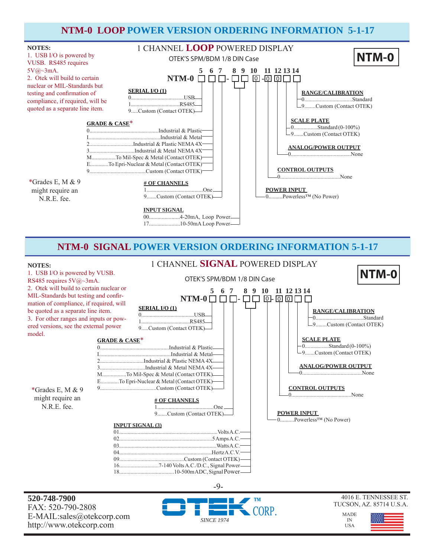### **NTM-0 LOOP POWER VERSION ORDERING INFORMATION 5-1-17**



### **NTM-0 SIGNAL POWER VERSION ORDERING INFORMATION 5-1-17**

#### **NOTES:**

#### OTEK'S SPM/BDM 1/8 DIN Case 1. USB I/O is powered by VUSB. RS485 requires 5V@~3mA. 2. Otek will build to certain nuclear or MIL-Standards but testing and confirmation of compliance, if required, will be quoted as a separate line item. 3. For other ranges and inputs or powered versions, see the external power model.  $\bf{NTM-0}$  ロロ- ロロ @- @ @ **SERIAL I/O (1)** 0......................................USB 1...................................RS485 9.....Custom (Contact OTEK) **# OF CHANNELS** 1........................................One 9.......Custom (Contact OTEK) **SCALE PLATE** 0.................Standard (0-100%) 9.......Custom (Contact OTEK) **RANGE/CALIBRATION** 0..................................Standard 9........Custom (Contact OTEK)  **5 6 7 8 9 10 11 12 13 14** 1 CHANNEL **SIGNAL** POWERED DISPLAY **CONTROL OUTPUTS** 0...........................................None **ANALOG/POWER OUTPUT** 0..........................................None **NTM-0 POWER INPUT**  0..........Powerless™ (No Power) \*Grades E, M & 9 might require an N.R.E. fee. **INPUT SIGNAL (3)** 01......................................................................Volts A.C. 02..................................................................5 Amps A.C. 03......................................................................Watts A.C. 04..................................................................Hertz A.C.V. 09..............................................Custom (Contact OTEK) 16............................7-140 Volts A.C./D.C., Signal Power **GRADE & CASE**\* 0.................................................Industrial & Plastic I...................................................Industrial & Metal 2...............................Industrial & Plastic NEMA 4X 3................................Industrial & Metal NEMA 4X M.................To Mil-Spec & Metal (Contact OTEK) E.............To Epri-Nuclear & Metal (Contact OTEK) 9........................................Custom (Contact OTEK)

-9-

18.......................................10-500m ADC, Signal Power

**520-748-7900** FAX: 520-790-2808 E-MAIL:sales@otekcorp.com http://www.otekcorp.com



#### 4016 E. TENNESSEE ST. TUCSON, AZ. 85714 U.S.A.

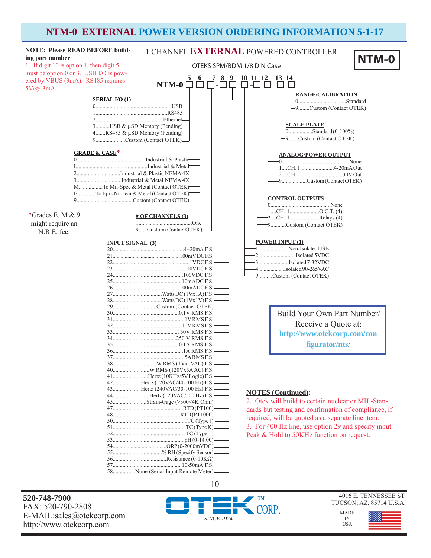### **NTM-0 EXTERNAL POWER VERSION ORDERING INFORMATION 5-1-17**



**520-748-7900** FAX: 520-790-2808 E-MAIL:sales@otekcorp.com http://www.otekcorp.com



4016 E. TENNESSEE ST. TUCSON, AZ. 85714 U.S.A.